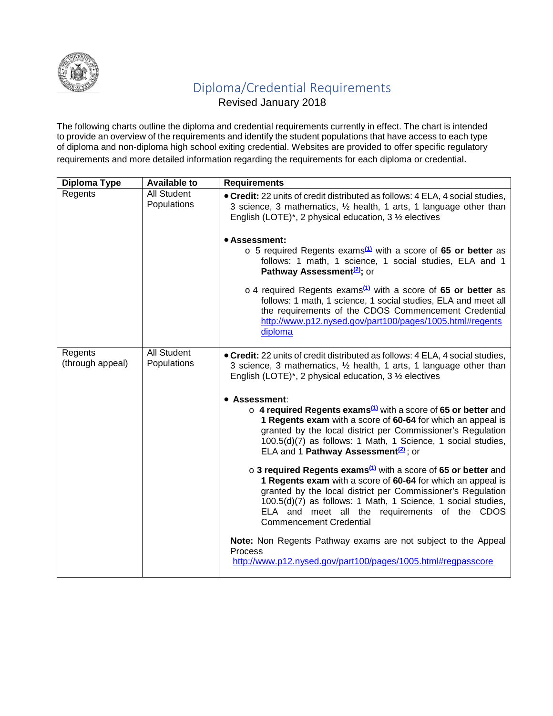

## Diploma/Credential Requirements

Revised January 2018

The following charts outline the diploma and credential requirements currently in effect. The chart is intended to provide an overview of the requirements and identify the student populations that have access to each type of diploma and non-diploma high school exiting credential. Websites are provided to offer specific regulatory requirements and more detailed information regarding the requirements for each diploma or credential.

| Diploma Type                | <b>Available to</b>               | <b>Requirements</b>                                                                                                                                                                                                                                                                                                                                               |
|-----------------------------|-----------------------------------|-------------------------------------------------------------------------------------------------------------------------------------------------------------------------------------------------------------------------------------------------------------------------------------------------------------------------------------------------------------------|
| Regents                     | All Student<br>Populations        | • Credit: 22 units of credit distributed as follows: 4 ELA, 4 social studies,<br>3 science, 3 mathematics, 1/2 health, 1 arts, 1 language other than<br>English (LOTE)*, 2 physical education, $3\frac{1}{2}$ electives                                                                                                                                           |
|                             |                                   | • Assessment:<br>$\circ$ 5 required Regents exams <sup>(1)</sup> with a score of 65 or better as<br>follows: 1 math, 1 science, 1 social studies, ELA and 1<br>Pathway Assessment <sup>(2)</sup> ; or                                                                                                                                                             |
|                             |                                   | $\circ$ 4 required Regents exams <sup>(1)</sup> with a score of 65 or better as<br>follows: 1 math, 1 science, 1 social studies, ELA and meet all<br>the requirements of the CDOS Commencement Credential<br>http://www.p12.nysed.gov/part100/pages/1005.html#regents<br>diploma                                                                                  |
| Regents<br>(through appeal) | All Student<br><b>Populations</b> | • Credit: 22 units of credit distributed as follows: 4 ELA, 4 social studies,<br>3 science, 3 mathematics, 1/2 health, 1 arts, 1 language other than<br>English (LOTE)*, 2 physical education, $3\frac{1}{2}$ electives                                                                                                                                           |
|                             |                                   | • Assessment:<br>o 4 required Regents exams <sup>(1)</sup> with a score of 65 or better and<br>1 Regents exam with a score of 60-64 for which an appeal is<br>granted by the local district per Commissioner's Regulation<br>100.5(d)(7) as follows: 1 Math, 1 Science, 1 social studies,<br>ELA and 1 Pathway Assessment <sup>(2)</sup> ; or                     |
|                             |                                   | $\circ$ 3 required Regents exams <sup>(1)</sup> with a score of 65 or better and<br>1 Regents exam with a score of 60-64 for which an appeal is<br>granted by the local district per Commissioner's Regulation<br>100.5(d)(7) as follows: 1 Math, 1 Science, 1 social studies,<br>ELA and meet all the requirements of the CDOS<br><b>Commencement Credential</b> |
|                             |                                   | Note: Non Regents Pathway exams are not subject to the Appeal<br><b>Process</b><br>http://www.p12.nysed.gov/part100/pages/1005.html#regpasscore                                                                                                                                                                                                                   |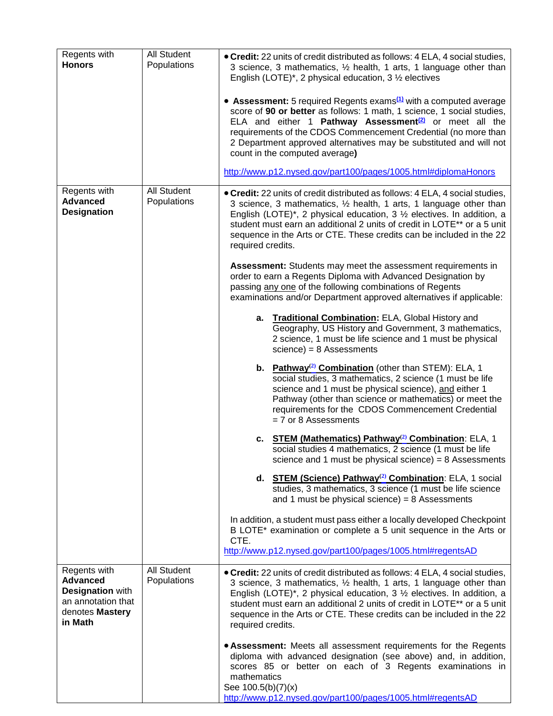| Regents with<br><b>Honors</b>                                                                                  | All Student<br>Populations        | • Credit: 22 units of credit distributed as follows: 4 ELA, 4 social studies,<br>3 science, 3 mathematics, 1/2 health, 1 arts, 1 language other than<br>English (LOTE)*, 2 physical education, $3\frac{1}{2}$ electives                                                                                                                                                                                                                                                                                                                         |
|----------------------------------------------------------------------------------------------------------------|-----------------------------------|-------------------------------------------------------------------------------------------------------------------------------------------------------------------------------------------------------------------------------------------------------------------------------------------------------------------------------------------------------------------------------------------------------------------------------------------------------------------------------------------------------------------------------------------------|
|                                                                                                                |                                   | • Assessment: 5 required Regents exams <sup>(1)</sup> with a computed average<br>score of 90 or better as follows: 1 math, 1 science, 1 social studies,<br>ELA and either 1 Pathway Assessment <sup>(2)</sup> or meet all the<br>requirements of the CDOS Commencement Credential (no more than<br>2 Department approved alternatives may be substituted and will not<br>count in the computed average)                                                                                                                                         |
|                                                                                                                |                                   | http://www.p12.nysed.gov/part100/pages/1005.html#diplomaHonors                                                                                                                                                                                                                                                                                                                                                                                                                                                                                  |
| Regents with<br><b>Advanced</b><br><b>Designation</b>                                                          | All Student<br>Populations        | • Credit: 22 units of credit distributed as follows: 4 ELA, 4 social studies,<br>3 science, 3 mathematics, 1/2 health, 1 arts, 1 language other than<br>English (LOTE)*, 2 physical education, $3\frac{1}{2}$ electives. In addition, a<br>student must earn an additional 2 units of credit in LOTE** or a 5 unit<br>sequence in the Arts or CTE. These credits can be included in the 22<br>required credits.<br>Assessment: Students may meet the assessment requirements in<br>order to earn a Regents Diploma with Advanced Designation by |
|                                                                                                                |                                   | passing any one of the following combinations of Regents<br>examinations and/or Department approved alternatives if applicable:                                                                                                                                                                                                                                                                                                                                                                                                                 |
|                                                                                                                |                                   | a. Traditional Combination: ELA, Global History and<br>Geography, US History and Government, 3 mathematics,<br>2 science, 1 must be life science and 1 must be physical<br>$science) = 8$ Assessments                                                                                                                                                                                                                                                                                                                                           |
|                                                                                                                |                                   | b. Pathway <sup>(2)</sup> Combination (other than STEM): ELA, 1<br>social studies, 3 mathematics, 2 science (1 must be life<br>science and 1 must be physical science), and either 1<br>Pathway (other than science or mathematics) or meet the<br>requirements for the CDOS Commencement Credential<br>$= 7$ or 8 Assessments                                                                                                                                                                                                                  |
|                                                                                                                |                                   | c. STEM (Mathematics) Pathway <sup>(2)</sup> Combination: ELA, 1<br>social studies 4 mathematics, 2 science (1 must be life<br>science and 1 must be physical science) = $8$ Assessments                                                                                                                                                                                                                                                                                                                                                        |
|                                                                                                                |                                   | d. STEM (Science) Pathway <sup>(2)</sup> Combination: ELA, 1 social<br>studies, 3 mathematics, 3 science (1 must be life science<br>and 1 must be physical science) = $8$ Assessments                                                                                                                                                                                                                                                                                                                                                           |
|                                                                                                                |                                   | In addition, a student must pass either a locally developed Checkpoint<br>B LOTE* examination or complete a 5 unit sequence in the Arts or<br>CTE.                                                                                                                                                                                                                                                                                                                                                                                              |
|                                                                                                                |                                   | http://www.p12.nysed.gov/part100/pages/1005.html#regentsAD                                                                                                                                                                                                                                                                                                                                                                                                                                                                                      |
| Regents with<br><b>Advanced</b><br><b>Designation with</b><br>an annotation that<br>denotes Mastery<br>in Math | <b>All Student</b><br>Populations | • Credit: 22 units of credit distributed as follows: 4 ELA, 4 social studies,<br>3 science, 3 mathematics, 1/2 health, 1 arts, 1 language other than<br>English (LOTE)*, 2 physical education, $3\frac{1}{2}$ electives. In addition, a<br>student must earn an additional 2 units of credit in LOTE** or a 5 unit<br>sequence in the Arts or CTE. These credits can be included in the 22<br>required credits.                                                                                                                                 |
|                                                                                                                |                                   | • Assessment: Meets all assessment requirements for the Regents<br>diploma with advanced designation (see above) and, in addition,<br>scores 85 or better on each of 3 Regents examinations in<br>mathematics<br>See 100.5(b)(7)(x)<br>http://www.p12.nysed.gov/part100/pages/1005.html#regentsAD                                                                                                                                                                                                                                               |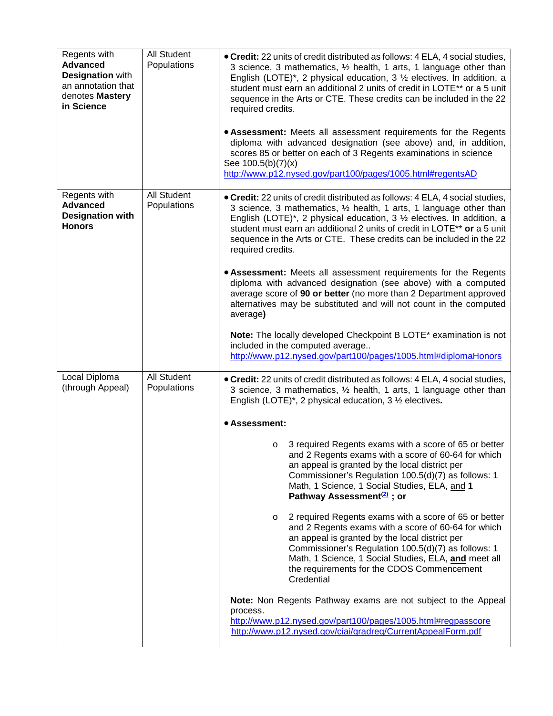| Regents with<br><b>Advanced</b><br><b>Designation with</b><br>an annotation that<br>denotes Mastery<br>in Science | <b>All Student</b><br>Populations | • Credit: 22 units of credit distributed as follows: 4 ELA, 4 social studies,<br>3 science, 3 mathematics, 1/2 health, 1 arts, 1 language other than<br>English (LOTE)*, 2 physical education, 3 $\frac{1}{2}$ electives. In addition, a<br>student must earn an additional 2 units of credit in LOTE** or a 5 unit<br>sequence in the Arts or CTE. These credits can be included in the 22<br>required credits.<br>• Assessment: Meets all assessment requirements for the Regents<br>diploma with advanced designation (see above) and, in addition,<br>scores 85 or better on each of 3 Regents examinations in science<br>See 100.5(b)(7)(x)<br>http://www.p12.nysed.gov/part100/pages/1005.html#regentsAD                                                                                                                                                                                                                                                                                                                                                                                                                         |
|-------------------------------------------------------------------------------------------------------------------|-----------------------------------|----------------------------------------------------------------------------------------------------------------------------------------------------------------------------------------------------------------------------------------------------------------------------------------------------------------------------------------------------------------------------------------------------------------------------------------------------------------------------------------------------------------------------------------------------------------------------------------------------------------------------------------------------------------------------------------------------------------------------------------------------------------------------------------------------------------------------------------------------------------------------------------------------------------------------------------------------------------------------------------------------------------------------------------------------------------------------------------------------------------------------------------|
| Regents with<br><b>Advanced</b><br><b>Designation with</b><br><b>Honors</b>                                       | <b>All Student</b><br>Populations | • Credit: 22 units of credit distributed as follows: 4 ELA, 4 social studies,<br>3 science, 3 mathematics, 1/2 health, 1 arts, 1 language other than<br>English (LOTE)*, 2 physical education, $3\frac{1}{2}$ electives. In addition, a<br>student must earn an additional 2 units of credit in LOTE** or a 5 unit<br>sequence in the Arts or CTE. These credits can be included in the 22<br>required credits.<br>• Assessment: Meets all assessment requirements for the Regents<br>diploma with advanced designation (see above) with a computed<br>average score of 90 or better (no more than 2 Department approved<br>alternatives may be substituted and will not count in the computed<br>average)<br>Note: The locally developed Checkpoint B LOTE* examination is not<br>included in the computed average<br>http://www.p12.nysed.gov/part100/pages/1005.html#diplomaHonors                                                                                                                                                                                                                                                  |
| Local Diploma<br>(through Appeal)                                                                                 | <b>All Student</b><br>Populations | • Credit: 22 units of credit distributed as follows: 4 ELA, 4 social studies,<br>3 science, 3 mathematics, 1/2 health, 1 arts, 1 language other than<br>English (LOTE)*, 2 physical education, $3\frac{1}{2}$ electives.<br>• Assessment:<br>3 required Regents exams with a score of 65 or better<br>O<br>and 2 Regents exams with a score of 60-64 for which<br>an appeal is granted by the local district per<br>Commissioner's Regulation 100.5(d)(7) as follows: 1<br>Math, 1 Science, 1 Social Studies, ELA, and 1<br>Pathway Assessment <sup>(2)</sup> ; or<br>2 required Regents exams with a score of 65 or better<br>$\circ$<br>and 2 Regents exams with a score of 60-64 for which<br>an appeal is granted by the local district per<br>Commissioner's Regulation 100.5(d)(7) as follows: 1<br>Math, 1 Science, 1 Social Studies, ELA, and meet all<br>the requirements for the CDOS Commencement<br>Credential<br>Note: Non Regents Pathway exams are not subject to the Appeal<br>process.<br>http://www.p12.nysed.gov/part100/pages/1005.html#regpasscore<br>http://www.p12.nysed.gov/ciai/gradreq/CurrentAppealForm.pdf |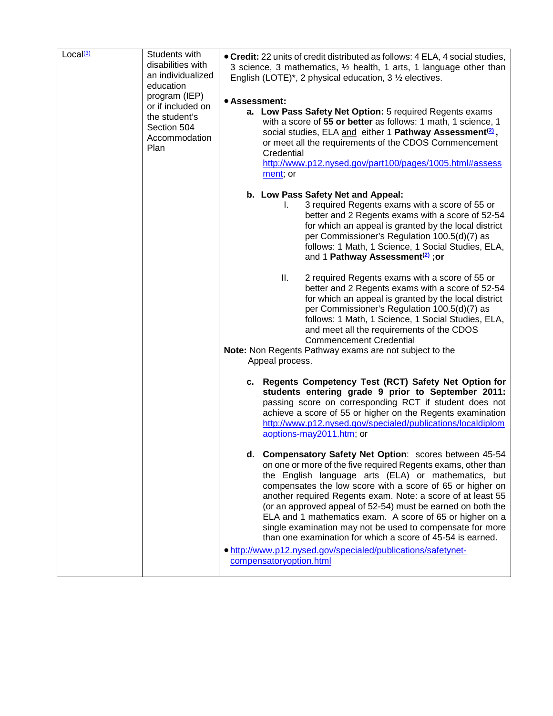| Local <sup>(3)</sup> | Students with<br>disabilities with<br>an individualized<br>education<br>program (IEP)<br>or if included on<br>the student's<br>Section 504<br>Accommodation<br>Plan | • Credit: 22 units of credit distributed as follows: 4 ELA, 4 social studies,<br>3 science, 3 mathematics, 1/2 health, 1 arts, 1 language other than<br>English (LOTE)*, 2 physical education, $3\frac{1}{2}$ electives.<br>• Assessment:<br>a. Low Pass Safety Net Option: 5 required Regents exams<br>with a score of 55 or better as follows: 1 math, 1 science, 1<br>social studies, ELA and either 1 Pathway Assessment <sup>(2)</sup> ,<br>or meet all the requirements of the CDOS Commencement<br>Credential<br>http://www.p12.nysed.gov/part100/pages/1005.html#assess<br>ment; or                                                                  |
|----------------------|---------------------------------------------------------------------------------------------------------------------------------------------------------------------|--------------------------------------------------------------------------------------------------------------------------------------------------------------------------------------------------------------------------------------------------------------------------------------------------------------------------------------------------------------------------------------------------------------------------------------------------------------------------------------------------------------------------------------------------------------------------------------------------------------------------------------------------------------|
|                      |                                                                                                                                                                     | b. Low Pass Safety Net and Appeal:<br>3 required Regents exams with a score of 55 or<br>I.<br>better and 2 Regents exams with a score of 52-54<br>for which an appeal is granted by the local district<br>per Commissioner's Regulation 100.5(d)(7) as<br>follows: 1 Math, 1 Science, 1 Social Studies, ELA,<br>and 1 Pathway Assessment <sup>(2)</sup> ; or                                                                                                                                                                                                                                                                                                 |
|                      |                                                                                                                                                                     | Ш.<br>2 required Regents exams with a score of 55 or<br>better and 2 Regents exams with a score of 52-54<br>for which an appeal is granted by the local district<br>per Commissioner's Regulation 100.5(d)(7) as<br>follows: 1 Math, 1 Science, 1 Social Studies, ELA,<br>and meet all the requirements of the CDOS<br><b>Commencement Credential</b><br>Note: Non Regents Pathway exams are not subject to the<br>Appeal process.                                                                                                                                                                                                                           |
|                      |                                                                                                                                                                     | c. Regents Competency Test (RCT) Safety Net Option for<br>students entering grade 9 prior to September 2011:<br>passing score on corresponding RCT if student does not<br>achieve a score of 55 or higher on the Regents examination<br>http://www.p12.nysed.gov/specialed/publications/localdiplom<br>aoptions-may2011.htm; or                                                                                                                                                                                                                                                                                                                              |
|                      |                                                                                                                                                                     | d. Compensatory Safety Net Option: scores between 45-54<br>on one or more of the five required Regents exams, other than<br>the English language arts (ELA) or mathematics, but<br>compensates the low score with a score of 65 or higher on<br>another required Regents exam. Note: a score of at least 55<br>(or an approved appeal of 52-54) must be earned on both the<br>ELA and 1 mathematics exam. A score of 65 or higher on a<br>single examination may not be used to compensate for more<br>than one examination for which a score of 45-54 is earned.<br>. http://www.p12.nysed.gov/specialed/publications/safetynet-<br>compensatoryoption.html |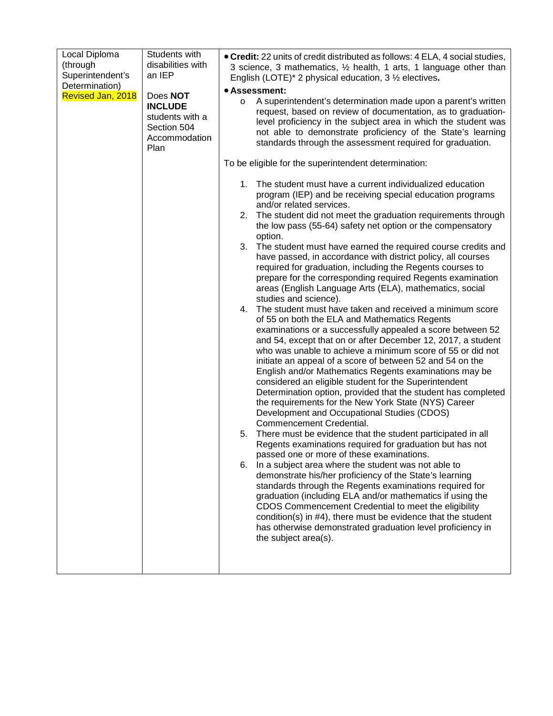| Local Diploma                      | Students with         | • Credit: 22 units of credit distributed as follows: 4 ELA, 4 social studies,                                                      |
|------------------------------------|-----------------------|------------------------------------------------------------------------------------------------------------------------------------|
| (through                           | disabilities with     | 3 science, 3 mathematics, 1/2 health, 1 arts, 1 language other than                                                                |
| Superintendent's<br>Determination) | an IEP                | English (LOTE)* 2 physical education, 3 1/2 electives.                                                                             |
| Revised Jan, 2018                  | Does NOT              | • Assessment:                                                                                                                      |
|                                    | <b>INCLUDE</b>        | A superintendent's determination made upon a parent's written<br>$\circ$                                                           |
|                                    | students with a       | request, based on review of documentation, as to graduation-<br>level proficiency in the subject area in which the student was     |
|                                    | Section 504           | not able to demonstrate proficiency of the State's learning                                                                        |
|                                    | Accommodation<br>Plan | standards through the assessment required for graduation.                                                                          |
|                                    |                       | To be eligible for the superintendent determination:                                                                               |
|                                    |                       | The student must have a current individualized education<br>1.                                                                     |
|                                    |                       | program (IEP) and be receiving special education programs<br>and/or related services.                                              |
|                                    |                       | The student did not meet the graduation requirements through<br>2.                                                                 |
|                                    |                       | the low pass (55-64) safety net option or the compensatory                                                                         |
|                                    |                       | option.                                                                                                                            |
|                                    |                       | The student must have earned the required course credits and<br>3.<br>have passed, in accordance with district policy, all courses |
|                                    |                       | required for graduation, including the Regents courses to                                                                          |
|                                    |                       | prepare for the corresponding required Regents examination                                                                         |
|                                    |                       | areas (English Language Arts (ELA), mathematics, social                                                                            |
|                                    |                       | studies and science).<br>The student must have taken and received a minimum score<br>4.                                            |
|                                    |                       | of 55 on both the ELA and Mathematics Regents                                                                                      |
|                                    |                       | examinations or a successfully appealed a score between 52                                                                         |
|                                    |                       | and 54, except that on or after December 12, 2017, a student                                                                       |
|                                    |                       | who was unable to achieve a minimum score of 55 or did not                                                                         |
|                                    |                       | initiate an appeal of a score of between 52 and 54 on the<br>English and/or Mathematics Regents examinations may be                |
|                                    |                       | considered an eligible student for the Superintendent                                                                              |
|                                    |                       | Determination option, provided that the student has completed                                                                      |
|                                    |                       | the requirements for the New York State (NYS) Career                                                                               |
|                                    |                       | Development and Occupational Studies (CDOS)<br>Commencement Credential.                                                            |
|                                    |                       | There must be evidence that the student participated in all<br>5.                                                                  |
|                                    |                       | Regents examinations required for graduation but has not                                                                           |
|                                    |                       | passed one or more of these examinations.                                                                                          |
|                                    |                       | In a subject area where the student was not able to<br>6.                                                                          |
|                                    |                       | demonstrate his/her proficiency of the State's learning<br>standards through the Regents examinations required for                 |
|                                    |                       | graduation (including ELA and/or mathematics if using the                                                                          |
|                                    |                       | CDOS Commencement Credential to meet the eligibility                                                                               |
|                                    |                       | condition(s) in #4), there must be evidence that the student                                                                       |
|                                    |                       | has otherwise demonstrated graduation level proficiency in                                                                         |
|                                    |                       | the subject area(s).                                                                                                               |
|                                    |                       |                                                                                                                                    |
|                                    |                       |                                                                                                                                    |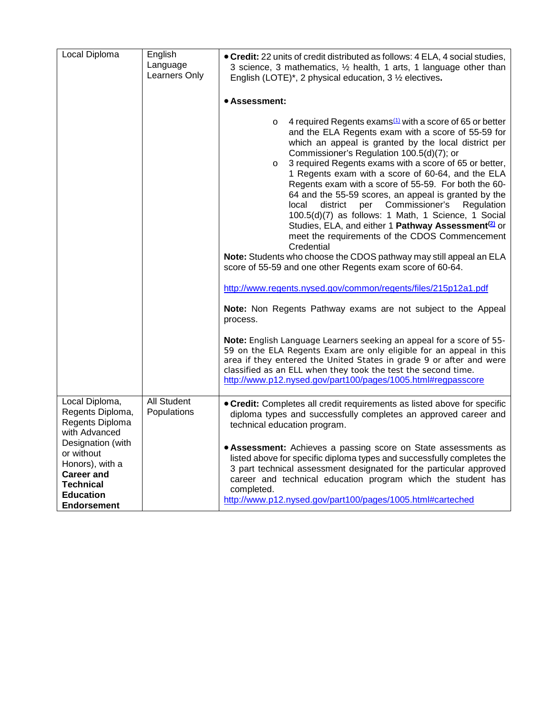| Local Diploma                                                                                                                         | English<br>Language<br>Learners Only | • Credit: 22 units of credit distributed as follows: 4 ELA, 4 social studies,<br>3 science, 3 mathematics, 1/2 health, 1 arts, 1 language other than<br>English (LOTE)*, 2 physical education, $3\frac{1}{2}$ electives.                                                                                                                                                                                                                                                                                                                                                                                                                                                                                                                                                                                                                                                      |
|---------------------------------------------------------------------------------------------------------------------------------------|--------------------------------------|-------------------------------------------------------------------------------------------------------------------------------------------------------------------------------------------------------------------------------------------------------------------------------------------------------------------------------------------------------------------------------------------------------------------------------------------------------------------------------------------------------------------------------------------------------------------------------------------------------------------------------------------------------------------------------------------------------------------------------------------------------------------------------------------------------------------------------------------------------------------------------|
|                                                                                                                                       |                                      | • Assessment:                                                                                                                                                                                                                                                                                                                                                                                                                                                                                                                                                                                                                                                                                                                                                                                                                                                                 |
|                                                                                                                                       |                                      | 4 required Regents exams <sup>(1)</sup> with a score of 65 or better<br>$\circ$<br>and the ELA Regents exam with a score of 55-59 for<br>which an appeal is granted by the local district per<br>Commissioner's Regulation 100.5(d)(7); or<br>3 required Regents exams with a score of 65 or better,<br>$\circ$<br>1 Regents exam with a score of 60-64, and the ELA<br>Regents exam with a score of 55-59. For both the 60-<br>64 and the 55-59 scores, an appeal is granted by the<br>Commissioner's<br>local<br>district<br>per<br>Regulation<br>100.5(d)(7) as follows: 1 Math, 1 Science, 1 Social<br>Studies, ELA, and either 1 Pathway Assessment <sup>(2)</sup> or<br>meet the requirements of the CDOS Commencement<br>Credential<br>Note: Students who choose the CDOS pathway may still appeal an ELA<br>score of 55-59 and one other Regents exam score of 60-64. |
|                                                                                                                                       |                                      | http://www.regents.nysed.gov/common/regents/files/215p12a1.pdf                                                                                                                                                                                                                                                                                                                                                                                                                                                                                                                                                                                                                                                                                                                                                                                                                |
|                                                                                                                                       |                                      | Note: Non Regents Pathway exams are not subject to the Appeal<br>process.                                                                                                                                                                                                                                                                                                                                                                                                                                                                                                                                                                                                                                                                                                                                                                                                     |
|                                                                                                                                       |                                      | Note: English Language Learners seeking an appeal for a score of 55-<br>59 on the ELA Regents Exam are only eligible for an appeal in this<br>area if they entered the United States in grade 9 or after and were<br>classified as an ELL when they took the test the second time.<br>http://www.p12.nysed.gov/part100/pages/1005.html#regpasscore                                                                                                                                                                                                                                                                                                                                                                                                                                                                                                                            |
| Local Diploma,<br>Regents Diploma,<br>Regents Diploma<br>with Advanced                                                                | All Student<br>Populations           | • Credit: Completes all credit requirements as listed above for specific<br>diploma types and successfully completes an approved career and<br>technical education program.                                                                                                                                                                                                                                                                                                                                                                                                                                                                                                                                                                                                                                                                                                   |
| Designation (with<br>or without<br>Honors), with a<br><b>Career and</b><br><b>Technical</b><br><b>Education</b><br><b>Endorsement</b> |                                      | • Assessment: Achieves a passing score on State assessments as<br>listed above for specific diploma types and successfully completes the<br>3 part technical assessment designated for the particular approved<br>career and technical education program which the student has<br>completed.<br>http://www.p12.nysed.gov/part100/pages/1005.html#carteched                                                                                                                                                                                                                                                                                                                                                                                                                                                                                                                    |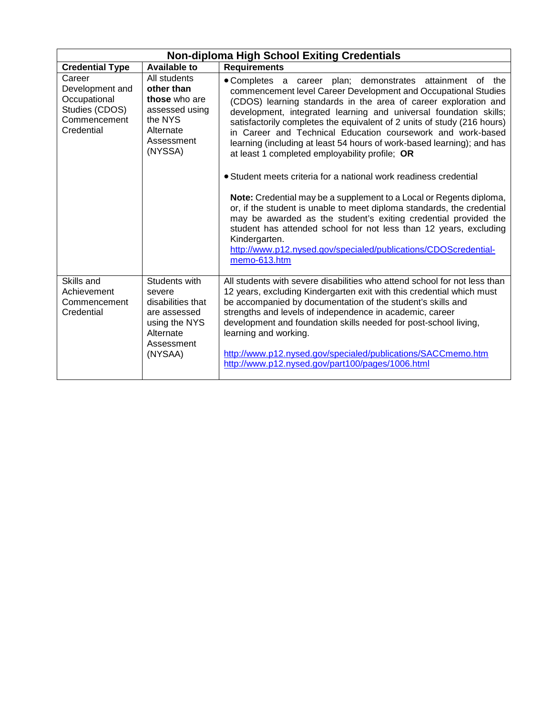<span id="page-6-0"></span>

| <b>Non-diploma High School Exiting Credentials</b>                                        |                                                                                                                     |                                                                                                                                                                                                                                                                                                                                                                                                                                                                                                                                                                                                                                                                                                                                                                                                                                                                                                                                                                                                             |
|-------------------------------------------------------------------------------------------|---------------------------------------------------------------------------------------------------------------------|-------------------------------------------------------------------------------------------------------------------------------------------------------------------------------------------------------------------------------------------------------------------------------------------------------------------------------------------------------------------------------------------------------------------------------------------------------------------------------------------------------------------------------------------------------------------------------------------------------------------------------------------------------------------------------------------------------------------------------------------------------------------------------------------------------------------------------------------------------------------------------------------------------------------------------------------------------------------------------------------------------------|
| <b>Credential Type</b>                                                                    | <b>Available to</b>                                                                                                 | <b>Requirements</b>                                                                                                                                                                                                                                                                                                                                                                                                                                                                                                                                                                                                                                                                                                                                                                                                                                                                                                                                                                                         |
| Career<br>Development and<br>Occupational<br>Studies (CDOS)<br>Commencement<br>Credential | All students<br>other than<br>those who are<br>assessed using<br>the NYS<br>Alternate<br>Assessment<br>(NYSSA)      | • Completes a career plan; demonstrates attainment of the<br>commencement level Career Development and Occupational Studies<br>(CDOS) learning standards in the area of career exploration and<br>development, integrated learning and universal foundation skills;<br>satisfactorily completes the equivalent of 2 units of study (216 hours)<br>in Career and Technical Education coursework and work-based<br>learning (including at least 54 hours of work-based learning); and has<br>at least 1 completed employability profile; OR<br>• Student meets criteria for a national work readiness credential<br>Note: Credential may be a supplement to a Local or Regents diploma,<br>or, if the student is unable to meet diploma standards, the credential<br>may be awarded as the student's exiting credential provided the<br>student has attended school for not less than 12 years, excluding<br>Kindergarten.<br>http://www.p12.nysed.gov/specialed/publications/CDOScredential-<br>memo-613.htm |
| Skills and<br>Achievement<br>Commencement<br>Credential                                   | Students with<br>severe<br>disabilities that<br>are assessed<br>using the NYS<br>Alternate<br>Assessment<br>(NYSAA) | All students with severe disabilities who attend school for not less than<br>12 years, excluding Kindergarten exit with this credential which must<br>be accompanied by documentation of the student's skills and<br>strengths and levels of independence in academic, career<br>development and foundation skills needed for post-school living,<br>learning and working.<br>http://www.p12.nysed.gov/specialed/publications/SACCmemo.htm<br>http://www.p12.nysed.gov/part100/pages/1006.html                                                                                                                                                                                                                                                                                                                                                                                                                                                                                                              |